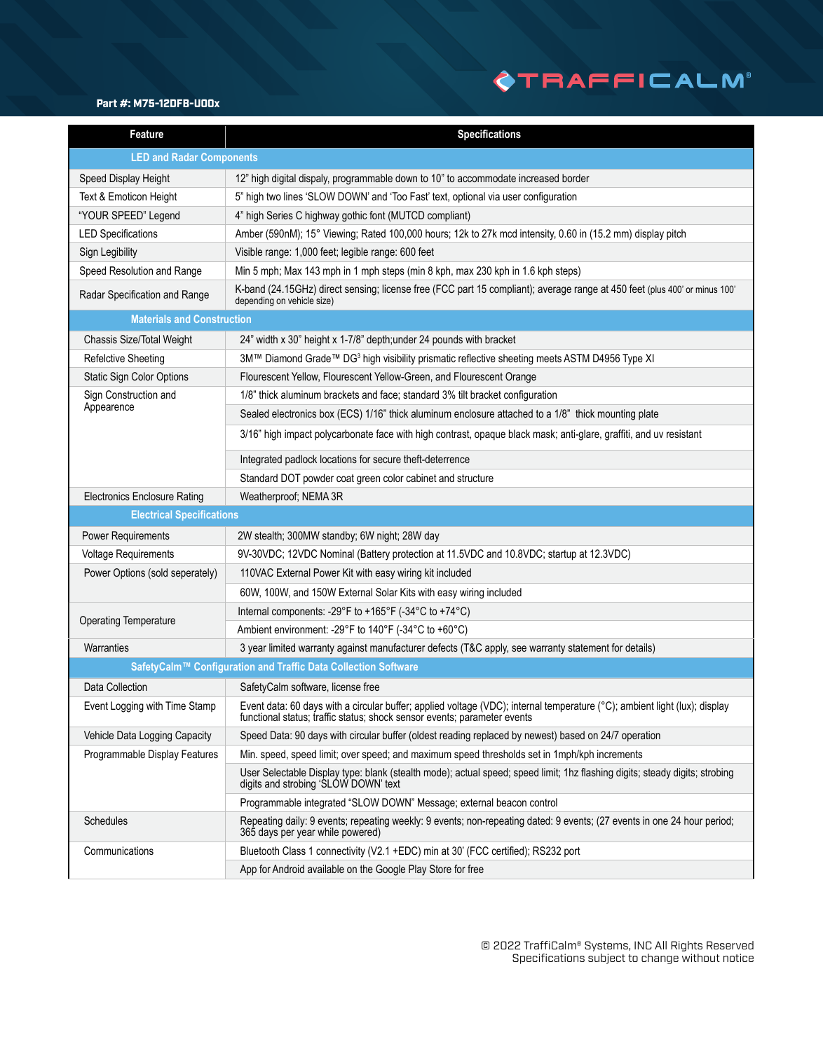## **OTRAFFICALM®**

#### Part #: M75-12DFB-U00x

| <b>Feature</b>                                                 | <b>Specifications</b>                                                                                                                                                                                  |
|----------------------------------------------------------------|--------------------------------------------------------------------------------------------------------------------------------------------------------------------------------------------------------|
| <b>LED and Radar Components</b>                                |                                                                                                                                                                                                        |
| Speed Display Height                                           | 12" high digital dispaly, programmable down to 10" to accommodate increased border                                                                                                                     |
| Text & Emoticon Height                                         | 5" high two lines 'SLOW DOWN' and 'Too Fast' text, optional via user configuration                                                                                                                     |
| "YOUR SPEED" Legend                                            | 4" high Series C highway gothic font (MUTCD compliant)                                                                                                                                                 |
| <b>LED Specifications</b>                                      | Amber (590nM); 15° Viewing; Rated 100,000 hours; 12k to 27k mcd intensity, 0.60 in (15.2 mm) display pitch                                                                                             |
| Sign Legibility                                                | Visible range: 1,000 feet; legible range: 600 feet                                                                                                                                                     |
| Speed Resolution and Range                                     | Min 5 mph; Max 143 mph in 1 mph steps (min 8 kph, max 230 kph in 1.6 kph steps)                                                                                                                        |
| Radar Specification and Range                                  | K-band (24.15GHz) direct sensing; license free (FCC part 15 compliant); average range at 450 feet (plus 400' or minus 100'<br>depending on vehicle size)                                               |
| <b>Materials and Construction</b>                              |                                                                                                                                                                                                        |
| Chassis Size/Total Weight                                      | 24" width x 30" height x 1-7/8" depth; under 24 pounds with bracket                                                                                                                                    |
| <b>Refelctive Sheeting</b>                                     | 3M™ Diamond Grade™ DG <sup>3</sup> high visibility prismatic reflective sheeting meets ASTM D4956 Type XI                                                                                              |
| Static Sign Color Options                                      | Flourescent Yellow, Flourescent Yellow-Green, and Flourescent Orange                                                                                                                                   |
| Sign Construction and                                          | 1/8" thick aluminum brackets and face; standard 3% tilt bracket configuration                                                                                                                          |
| Appearence                                                     | Sealed electronics box (ECS) 1/16" thick aluminum enclosure attached to a 1/8" thick mounting plate                                                                                                    |
|                                                                | 3/16" high impact polycarbonate face with high contrast, opaque black mask; anti-glare, graffiti, and uv resistant                                                                                     |
|                                                                | Integrated padlock locations for secure theft-deterrence                                                                                                                                               |
|                                                                | Standard DOT powder coat green color cabinet and structure                                                                                                                                             |
| <b>Electronics Enclosure Rating</b>                            | Weatherproof; NEMA 3R                                                                                                                                                                                  |
| <b>Electrical Specifications</b>                               |                                                                                                                                                                                                        |
| <b>Power Requirements</b>                                      | 2W stealth; 300MW standby; 6W night; 28W day                                                                                                                                                           |
| Voltage Requirements                                           | 9V-30VDC; 12VDC Nominal (Battery protection at 11.5VDC and 10.8VDC; startup at 12.3VDC)                                                                                                                |
| Power Options (sold seperately)                                | 110VAC External Power Kit with easy wiring kit included                                                                                                                                                |
|                                                                | 60W, 100W, and 150W External Solar Kits with easy wiring included                                                                                                                                      |
| <b>Operating Temperature</b>                                   | Internal components: -29°F to +165°F (-34°C to +74°C)                                                                                                                                                  |
|                                                                | Ambient environment: -29°F to 140°F (-34°C to +60°C)                                                                                                                                                   |
| Warranties                                                     | 3 year limited warranty against manufacturer defects (T&C apply, see warranty statement for details)                                                                                                   |
| SafetyCalm™ Configuration and Traffic Data Collection Software |                                                                                                                                                                                                        |
| Data Collection                                                | SafetyCalm software, license free                                                                                                                                                                      |
| Event Logging with Time Stamp                                  | Event data: 60 days with a circular buffer; applied voltage (VDC); internal temperature (°C); ambient light (lux); display<br>functional status; traffic status; shock sensor events; parameter events |
| Vehicle Data Logging Capacity                                  | Speed Data: 90 days with circular buffer (oldest reading replaced by newest) based on 24/7 operation                                                                                                   |
| Programmable Display Features                                  | Min. speed, speed limit; over speed; and maximum speed thresholds set in 1mph/kph increments                                                                                                           |
|                                                                | User Selectable Display type: blank (stealth mode); actual speed; speed limit; 1hz flashing digits; steady digits; strobing<br>digits and strobing 'SLOW DOWN' text                                    |
|                                                                | Programmable integrated "SLOW DOWN" Message; external beacon control                                                                                                                                   |
| Schedules                                                      | Repeating daily: 9 events; repeating weekly: 9 events; non-repeating dated: 9 events; (27 events in one 24 hour period;<br>365 days per year while powered)                                            |
| Communications                                                 | Bluetooth Class 1 connectivity (V2.1 +EDC) min at 30' (FCC certified); RS232 port                                                                                                                      |
|                                                                | App for Android available on the Google Play Store for free                                                                                                                                            |